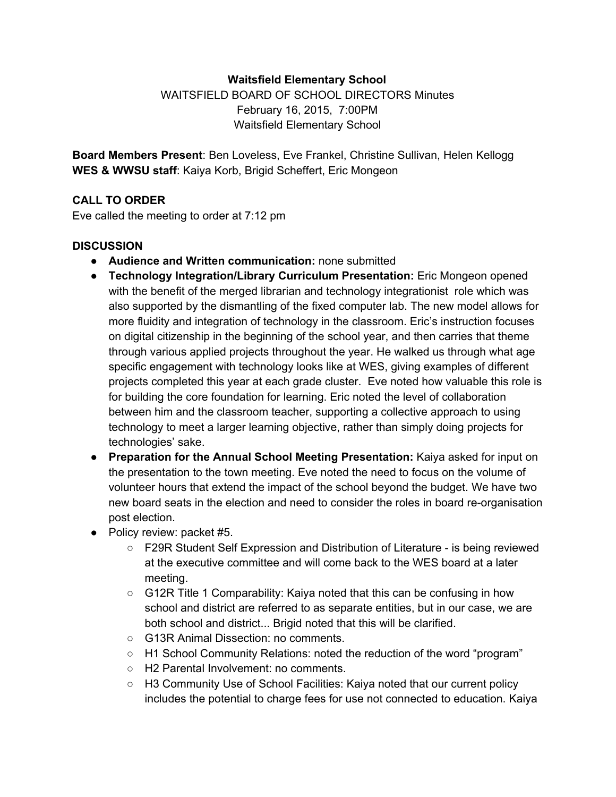### **Waitsfield Elementary School**

WAITSFIELD BOARD OF SCHOOL DIRECTORS Minutes February 16, 2015, 7:00PM Waitsfield Elementary School

**Board Members Present**: Ben Loveless, Eve Frankel, Christine Sullivan, Helen Kellogg **WES & WWSU staff**: Kaiya Korb, Brigid Scheffert, Eric Mongeon

### **CALL TO ORDER**

Eve called the meeting to order at 7:12 pm

# **DISCUSSION**

- **Audience and Written communication:**none submitted
- **Technology Integration/Library Curriculum Presentation:**Eric Mongeon opened with the benefit of the merged librarian and technology integrationist role which was also supported by the dismantling of the fixed computer lab. The new model allows for more fluidity and integration of technology in the classroom. Eric's instruction focuses on digital citizenship in the beginning of the school year, and then carries that theme through various applied projects throughout the year. He walked us through what age specific engagement with technology looks like at WES, giving examples of different projects completed this year at each grade cluster. Eve noted how valuable this role is for building the core foundation for learning. Eric noted the level of collaboration between him and the classroom teacher, supporting a collective approach to using technology to meet a larger learning objective, rather than simply doing projects for technologies' sake.
- **Preparation for the Annual School Meeting Presentation:**Kaiya asked for input on the presentation to the town meeting. Eve noted the need to focus on the volume of volunteer hours that extend the impact of the school beyond the budget. We have two new board seats in the election and need to consider the roles in board re-organisation post election.
- Policy review: packet #5.
	- F29R Student Self Expression and Distribution of Literature is being reviewed at the executive committee and will come back to the WES board at a later meeting.
	- $\circ$  G12R Title 1 Comparability: Kaiya noted that this can be confusing in how school and district are referred to as separate entities, but in our case, we are both school and district... Brigid noted that this will be clarified.
	- G13R Animal Dissection: no comments.
	- H1 School Community Relations: noted the reduction of the word "program"
	- H2 Parental Involvement: no comments.
	- H3 Community Use of School Facilities: Kaiya noted that our current policy includes the potential to charge fees for use not connected to education. Kaiya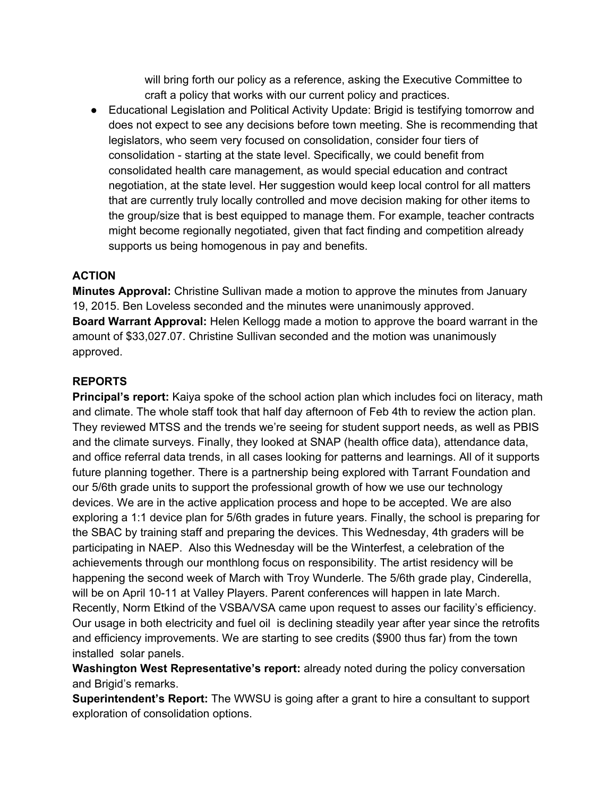will bring forth our policy as a reference, asking the Executive Committee to craft a policy that works with our current policy and practices.

● Educational Legislation and Political Activity Update: Brigid is testifying tomorrow and does not expect to see any decisions before town meeting. She is recommending that legislators, who seem very focused on consolidation, consider four tiers of consolidation - starting at the state level. Specifically, we could benefit from consolidated health care management, as would special education and contract negotiation, at the state level. Her suggestion would keep local control for all matters that are currently truly locally controlled and move decision making for other items to the group/size that is best equipped to manage them. For example, teacher contracts might become regionally negotiated, given that fact finding and competition already supports us being homogenous in pay and benefits.

#### **ACTION**

**Minutes Approval:** Christine Sullivan made a motion to approve the minutes from January 19, 2015. Ben Loveless seconded and the minutes were unanimously approved. **Board Warrant Approval:**Helen Kellogg made a motion to approve the board warrant in the amount of \$33,027.07. Christine Sullivan seconded and the motion was unanimously approved.

# **REPORTS**

**Principal's report:** Kaiya spoke of the school action plan which includes foci on literacy, math and climate. The whole staff took that half day afternoon of Feb 4th to review the action plan. They reviewed MTSS and the trends we're seeing for student support needs, as well as PBIS and the climate surveys. Finally, they looked at SNAP (health office data), attendance data, and office referral data trends, in all cases looking for patterns and learnings. All of it supports future planning together. There is a partnership being explored with Tarrant Foundation and our 5/6th grade units to support the professional growth of how we use our technology devices. We are in the active application process and hope to be accepted. We are also exploring a 1:1 device plan for 5/6th grades in future years. Finally, the school is preparing for the SBAC by training staff and preparing the devices. This Wednesday, 4th graders will be participating in NAEP. Also this Wednesday will be the Winterfest, a celebration of the achievements through our monthlong focus on responsibility. The artist residency will be happening the second week of March with Troy Wunderle. The 5/6th grade play, Cinderella, will be on April 10-11 at Valley Players. Parent conferences will happen in late March. Recently, Norm Etkind of the VSBA/VSA came upon request to asses our facility's efficiency. Our usage in both electricity and fuel oil is declining steadily year after year since the retrofits and efficiency improvements. We are starting to see credits (\$900 thus far) from the town installed solar panels.

**Washington West Representative's report:** already noted during the policy conversation and Brigid's remarks.

**Superintendent's Report:** The WWSU is going after a grant to hire a consultant to support exploration of consolidation options.